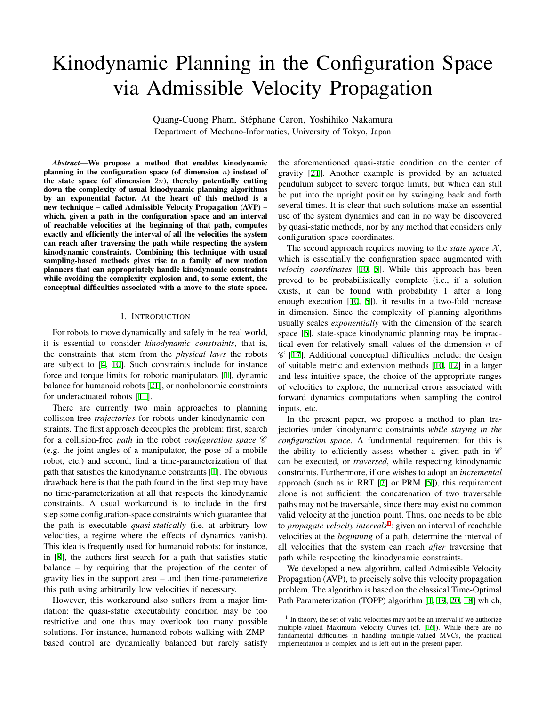# Kinodynamic Planning in the Configuration Space via Admissible Velocity Propagation

Quang-Cuong Pham, Stephane Caron, Yoshihiko Nakamura ´ Department of Mechano-Informatics, University of Tokyo, Japan

*Abstract*—We propose a method that enables kinodynamic planning in the configuration space (of dimension *n*) instead of the state space (of dimension 2*n*), thereby potentially cutting down the complexity of usual kinodynamic planning algorithms by an exponential factor. At the heart of this method is a new technique – called Admissible Velocity Propagation (AVP) – which, given a path in the configuration space and an interval of reachable velocities at the beginning of that path, computes exactly and efficiently the interval of all the velocities the system can reach after traversing the path while respecting the system kinodynamic constraints. Combining this technique with usual sampling-based methods gives rise to a family of new motion planners that can appropriately handle kinodynamic constraints while avoiding the complexity explosion and, to some extent, the conceptual difficulties associated with a move to the state space.

## I. INTRODUCTION

<span id="page-0-0"></span>For robots to move dynamically and safely in the real world, it is essential to consider *kinodynamic constraints*, that is, the constraints that stem from the *physical laws* the robots are subject to [[4,](#page-7-0) [10](#page-7-1)]. Such constraints include for instance force and torque limits for robotic manipulators [\[1](#page-7-2)], dynamic balance for humanoid robots [\[21](#page-7-3)], or nonholonomic constraints for underactuated robots [\[11](#page-7-4)].

There are currently two main approaches to planning collision-free *trajectories* for robots under kinodynamic constraints. The first approach decouples the problem: first, search for a collision-free *path* in the robot *configuration space C* (e.g. the joint angles of a manipulator, the pose of a mobile robot, etc.) and second, find a time-parameterization of that path that satisfies the kinodynamic constraints [[1\]](#page-7-2). The obvious drawback here is that the path found in the first step may have no time-parameterization at all that respects the kinodynamic constraints. A usual workaround is to include in the first step some configuration-space constraints which guarantee that the path is executable *quasi-statically* (i.e. at arbitrary low velocities, a regime where the effects of dynamics vanish). This idea is frequently used for humanoid robots: for instance, in [\[8](#page-7-5)], the authors first search for a path that satisfies static balance – by requiring that the projection of the center of gravity lies in the support area – and then time-parameterize this path using arbitrarily low velocities if necessary.

However, this workaround also suffers from a major limitation: the quasi-static executability condition may be too restrictive and one thus may overlook too many possible solutions. For instance, humanoid robots walking with ZMPbased control are dynamically balanced but rarely satisfy the aforementioned quasi-static condition on the center of gravity [[21\]](#page-7-3). Another example is provided by an actuated pendulum subject to severe torque limits, but which can still be put into the upright position by swinging back and forth several times. It is clear that such solutions make an essential use of the system dynamics and can in no way be discovered by quasi-static methods, nor by any method that considers only configuration-space coordinates.

The second approach requires moving to the *state space*  $X$ , which is essentially the configuration space augmented with *velocity coordinates* [[10,](#page-7-1) [5](#page-7-6)]. While this approach has been proved to be probabilistically complete (i.e., if a solution exists, it can be found with probability 1 after a long enough execution [[10,](#page-7-1) [5\]](#page-7-6)), it results in a two-fold increase in dimension. Since the complexity of planning algorithms usually scales *exponentially* with the dimension of the search space [\[5](#page-7-6)], state-space kinodynamic planning may be impractical even for relatively small values of the dimension *n* of *C* [\[17](#page-7-7)]. Additional conceptual difficulties include: the design of suitable metric and extension methods [[10,](#page-7-1) [12\]](#page-7-8) in a larger and less intuitive space, the choice of the appropriate ranges of velocities to explore, the numerical errors associated with forward dynamics computations when sampling the control inputs, etc.

In the present paper, we propose a method to plan trajectories under kinodynamic constraints *while staying in the configuration space*. A fundamental requirement for this is the ability to efficiently assess whether a given path in *C* can be executed, or *traversed*, while respecting kinodynamic constraints. Furthermore, if one wishes to adopt an *incremental* approach (such as in RRT [[7\]](#page-7-9) or PRM [[5\]](#page-7-6)), this requirement alone is not sufficient: the concatenation of two traversable paths may not be traversable, since there may exist no common valid velocity at the junction point. Thus, one needs to be able to *propagate velocity intervals*1 : given an interval of reachable velocities at the *beginning* of a path, determine the interval of all velocities that the system can reach *after* traversing that path while respecting the kinodynamic constraints.

We developed a new algorithm, called Admissible Velocity Propagation (AVP), to precisely solve this velocity propagation problem. The algorithm is based on the classical Time-Optimal Path Parameterization (TOPP) algorithm [\[1](#page-7-2), [19](#page-7-10), [20](#page-7-11), [18](#page-7-12)] which,

<sup>&</sup>lt;sup>1</sup> In theory, the set of valid velocities may not be an interval if we authorize multiple-valued Maximum Velocity Curves (cf. [\[16](#page-7-13)]). While there are no fundamental difficulties in handling multiple-valued MVCs, the practical implementation is complex and is left out in the present paper.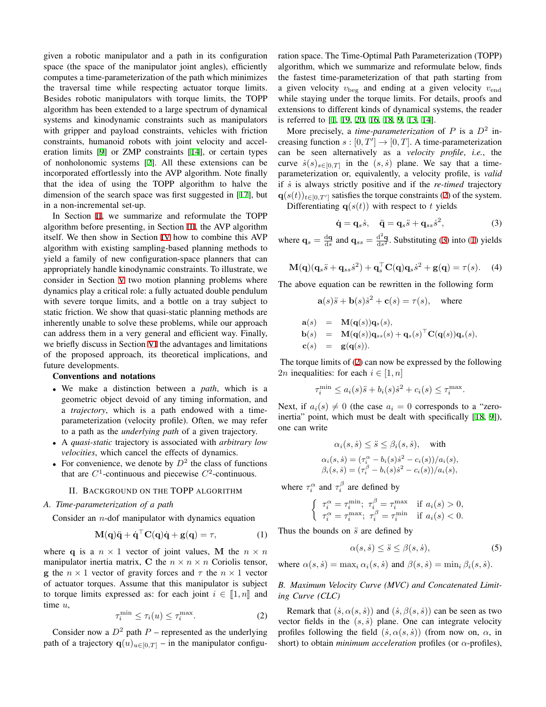given a robotic manipulator and a path in its configuration space (the space of the manipulator joint angles), efficiently computes a time-parameterization of the path which minimizes the traversal time while respecting actuator torque limits. Besides robotic manipulators with torque limits, the TOPP algorithm has been extended to a large spectrum of dynamical systems and kinodynamic constraints such as manipulators with gripper and payload constraints, vehicles with friction constraints, humanoid robots with joint velocity and acceleration limits [[9\]](#page-7-14) or ZMP constraints [[14\]](#page-7-15), or certain types of nonholonomic systems [\[2](#page-7-16)]. All these extensions can be incorporated effortlessly into the AVP algorithm. Note finally that the idea of using the TOPP algorithm to halve the dimension of the search space was first suggested in [[17](#page-7-7)], but in a non-incremental set-up.

In Section [II](#page-1-0), we summarize and reformulate the TOPP algorithm before presenting, in Section [III](#page-2-0), the AVP algorithm itself. We then show in Section [IV](#page-4-0) how to combine this AVP algorithm with existing sampling-based planning methods to yield a family of new configuration-space planners that can appropriately handle kinodynamic constraints. To illustrate, we consider in Section [V](#page-5-0) two motion planning problems where dynamics play a critical role: a fully actuated double pendulum with severe torque limits, and a bottle on a tray subject to static friction. We show that quasi-static planning methods are inherently unable to solve these problems, while our approach can address them in a very general and efficient way. Finally, we briefly discuss in Section [VI](#page-6-0) the advantages and limitations of the proposed approach, its theoretical implications, and future developments.

## Conventions and notations

- *•* We make a distinction between a *path*, which is a geometric object devoid of any timing information, and a *trajectory*, which is a path endowed with a timeparameterization (velocity profile). Often, we may refer to a path as the *underlying path* of a given trajectory.
- *•* A *quasi-static* trajectory is associated with *arbitrary low velocities*, which cancel the effects of dynamics.
- For convenience, we denote by  $D^2$  the class of functions that are  $C^1$ -continuous and piecewise  $C^2$ -continuous.

## II. BACKGROUND ON THE TOPP ALGORITHM

# <span id="page-1-6"></span><span id="page-1-0"></span>*A. Time-parameterization of a path*

Consider an *n*-dof manipulator with dynamics equation

$$
\mathbf{M}(\mathbf{q})\ddot{\mathbf{q}} + \dot{\mathbf{q}}^{\top}\mathbf{C}(\mathbf{q})\dot{\mathbf{q}} + \mathbf{g}(\mathbf{q}) = \tau,\tag{1}
$$

where **q** is a  $n \times 1$  vector of joint values, **M** the  $n \times n$ manipulator inertia matrix, C the  $n \times n \times n$  Coriolis tensor, **g** the  $n \times 1$  vector of gravity forces and  $\tau$  the  $n \times 1$  vector of actuator torques. Assume that this manipulator is subject to torque limits expressed as: for each joint  $i \in [1, n]$  and time *u*,

$$
\tau_i^{\min} \le \tau_i(u) \le \tau_i^{\max}.\tag{2}
$$

<span id="page-1-1"></span>Consider now a  $D^2$  path  $P$  – represented as the underlying path of a trajectory  $\mathbf{q}(u)_{u \in [0,T]}$  – in the manipulator configuration space. The Time-Optimal Path Parameterization (TOPP) algorithm, which we summarize and reformulate below, finds the fastest time-parameterization of that path starting from a given velocity *v*beg and ending at a given velocity *v*end while staying under the torque limits. For details, proofs and extensions to different kinds of dynamical systems, the reader is referred to [[1,](#page-7-2) [19,](#page-7-10) [20,](#page-7-11) [16](#page-7-13), [18](#page-7-12), [9](#page-7-14), [13](#page-7-17), [14](#page-7-15)].

More precisely, a *time-parameterization* of *P* is a *D*<sup>2</sup> increasing function  $s : [0, T'] \rightarrow [0, T]$ . A time-parameterization can be seen alternatively as a *velocity profile*, *i.e.*, the curve  $\dot{s}(s)_{s \in [0,T]}$  in the  $(s, \dot{s})$  plane. We say that a timeparameterization or, equivalently, a velocity profile, is *valid* if *s*˙ is always strictly positive and if the *re-timed* trajectory  $\mathbf{q}(s(t))_{t \in [0,T']}$  satisfies the torque constraints [\(2](#page-1-1)) of the system.

Differentiating  $q(s(t))$  with respect to *t* yields

<span id="page-1-2"></span>
$$
\dot{\mathbf{q}} = \mathbf{q}_s \dot{s}, \quad \ddot{\mathbf{q}} = \mathbf{q}_s \ddot{s} + \mathbf{q}_{ss} \dot{s}^2, \tag{3}
$$

where  $\mathbf{q}_s = \frac{d\mathbf{q}}{ds}$  and  $\mathbf{q}_{ss} = \frac{d^2\mathbf{q}}{ds^2}$ . Substituting ([3\)](#page-1-2) into [\(1](#page-1-3)) yields

$$
\mathbf{M}(\mathbf{q})(\mathbf{q}_s\ddot{s} + \mathbf{q}_{ss}\dot{s}^2) + \mathbf{q}_s^{\top}\mathbf{C}(\mathbf{q})\mathbf{q}_s\dot{s}^2 + \mathbf{g}(\mathbf{q}) = \tau(s).
$$
 (4)

The above equation can be rewritten in the following form

<span id="page-1-4"></span>
$$
\mathbf{a}(s)\ddot{s} + \mathbf{b}(s)\dot{s}^2 + \mathbf{c}(s) = \tau(s), \text{ where}
$$
  
\n
$$
\mathbf{a}(s) = \mathbf{M}(\mathbf{q}(s))\mathbf{q}_s(s),
$$
  
\n
$$
\mathbf{b}(s) = \mathbf{M}(\mathbf{q}(s))\mathbf{q}_{ss}(s) + \mathbf{q}_s(s)^\top \mathbf{C}(\mathbf{q}(s))\mathbf{q}_s(s),
$$
  
\n
$$
\mathbf{c}(s) = \mathbf{g}(\mathbf{q}(s)).
$$

The torque limits of ([2\)](#page-1-1) can now be expressed by the following 2*n* inequalities: for each  $i \in [1, n]$ 

$$
\tau_i^{\min} \le a_i(s)\ddot{s} + b_i(s)\dot{s}^2 + c_i(s) \le \tau_i^{\max}.
$$

Next, if  $a_i(s) \neq 0$  (the case  $a_i = 0$  corresponds to a "zeroinertia" point, which must be dealt with specifically [[18,](#page-7-12) [9\]](#page-7-14)), one can write

$$
\alpha_i(s, \dot{s}) \leq \ddot{s} \leq \beta_i(s, \dot{s}), \quad \text{with}
$$
  
\n
$$
\alpha_i(s, \dot{s}) = (\tau_i^{\alpha} - b_i(s)\dot{s}^2 - c_i(s))/a_i(s),
$$
  
\n
$$
\beta_i(s, \dot{s}) = (\tau_i^{\beta} - b_i(s)\dot{s}^2 - c_i(s))/a_i(s),
$$

where  $\tau_i^{\alpha}$  and  $\tau_i^{\beta}$  are defined by

$$
\begin{cases} \tau_i^{\alpha} = \tau_i^{\min}; \ \tau_i^{\beta} = \tau_i^{\max} & \text{if } a_i(s) > 0, \\ \tau_i^{\alpha} = \tau_i^{\max}; \ \tau_i^{\beta} = \tau_i^{\min} & \text{if } a_i(s) < 0. \end{cases}
$$

<span id="page-1-3"></span>Thus the bounds on  $\ddot{s}$  are defined by

$$
\alpha(s,\dot{s}) \le \ddot{s} \le \beta(s,\dot{s}),\tag{5}
$$

where  $\alpha(s, \dot{s}) = \max_i \alpha_i(s, \dot{s})$  and  $\beta(s, \dot{s}) = \min_i \beta_i(s, \dot{s}).$ 

<span id="page-1-5"></span>*B. Maximum Velocity Curve (MVC) and Concatenated Limiting Curve (CLC)*

Remark that  $(s, \alpha(s, s))$  and  $(s, \beta(s, s))$  can be seen as two vector fields in the  $(s, \dot{s})$  plane. One can integrate velocity profiles following the field  $( \dot{s}, \alpha(s, \dot{s}) )$  (from now on,  $\alpha$ , in short) to obtain *minimum acceleration* profiles (or *α*-profiles),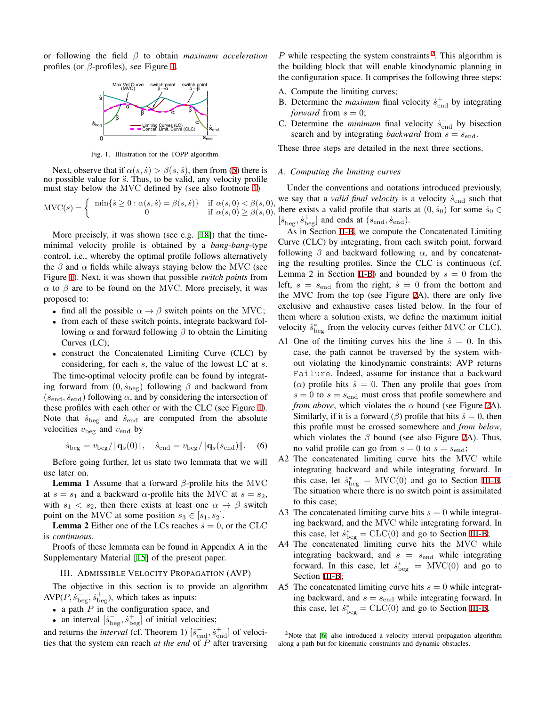or following the field *β* to obtain *maximum acceleration* profiles (or *β*-profiles), see Figure [1.](#page-2-1)



<span id="page-2-1"></span>Fig. 1. Illustration for the TOPP algorithm.

Next, observe that if  $\alpha(s, \dot{s}) > \beta(s, \dot{s})$ , then from [\(5](#page-1-4)) there is no possible value for  $\ddot{s}$ . Thus, to be valid, any velocity profile must stay below the MVC defined by (see also footnote [1\)](#page-0-0)

$$
MVC(s) = \begin{cases} \min\{s \ge 0 : \alpha(s, \dot{s}) = \beta(s, \dot{s})\} & \text{if } \alpha(s, 0) < \beta(s, 0), \\ 0 & \text{if } \alpha(s, 0) \ge \beta(s, 0). \end{cases}
$$

More precisely, it was shown (see e.g. [\[18](#page-7-12)]) that the timeminimal velocity profile is obtained by a *bang-bang*-type control, i.e., whereby the optimal profile follows alternatively the  $\beta$  and  $\alpha$  fields while always staying below the MVC (see Figure [1\)](#page-2-1). Next, it was shown that possible *switch points* from  *to <i>β* are to be found on the MVC. More precisely, it was proposed to:

- find all the possible  $\alpha \rightarrow \beta$  switch points on the MVC;
- from each of these switch points, integrate backward following *α* and forward following *β* to obtain the Limiting Curves (LC);
- construct the Concatenated Limiting Curve (CLC) by considering, for each *s*, the value of the lowest LC at *s*.

The time-optimal velocity profile can be found by integrating forward from  $(0, \dot{s}_{\text{beg}})$  following  $\beta$  and backward from  $(s_{end}, \dot{s}_{end})$  following  $\alpha$ , and by considering the intersection of these profiles with each other or with the CLC (see Figure [1](#page-2-1)). Note that  $\dot{s}_{\text{beg}}$  and  $\dot{s}_{\text{end}}$  are computed from the absolute velocities  $v_{\text{beg}}$  and  $v_{\text{end}}$  by

$$
\dot{s}_{\text{beg}} = v_{\text{beg}} / ||\mathbf{q}_s(0)||, \quad \dot{s}_{\text{end}} = v_{\text{beg}} / ||\mathbf{q}_s(s_{\text{end}})||.
$$
 (6)

Before going further, let us state two lemmata that we will use later on.

Lemma 1 Assume that a forward *β*-profile hits the MVC at  $s = s_1$  and a backward  $\alpha$ -profile hits the MVC at  $s = s_2$ , with  $s_1 < s_2$ , then there exists at least one  $\alpha \rightarrow \beta$  switch point on the MVC at some position  $s_3 \in [s_1, s_2]$ .

**Lemma 2** Either one of the LCs reaches  $\dot{s} = 0$ , or the CLC is *continuous*.

Proofs of these lemmata can be found in Appendix A in the Supplementary Material [\[15](#page-7-18)] of the present paper.

III. ADMISSIBLE VELOCITY PROPAGATION (AVP)

<span id="page-2-0"></span>The objective in this section is to provide an algorithm  $AVP(P, \dot{s}_{\text{beg}}^-, \dot{s}_{\text{beg}}^+)$ , which takes as inputs:

- *•* a path *P* in the configuration space, and
- an interval  $\left[ \dot{s}_{\text{beg}}^{-}, \dot{s}_{\text{beg}}^{+} \right]$  of initial velocities;

and returns the *interval* (cf. Theorem 1)  $[\dot{s}_{end}^{-}, \dot{s}_{end}^{+}]$  of velocities that the system can reach *at the end* of *P* after traversing

 $P$  while respecting the system constraints<sup>2</sup>. This algorithm is the building block that will enable kinodynamic planning in the configuration space. It comprises the following three steps:

- A. Compute the limiting curves;
- B. Determine the *maximum* final velocity  $\dot{s}_{end}^+$  by integrating *forward* from  $s = 0$ ;
- C. Determine the *minimum* final velocity  $\dot{s}_{end}$  by bisection search and by integrating *backward* from *s* = *s*end.

These three steps are detailed in the next three sections.

## <span id="page-2-2"></span>*A. Computing the limiting curves*

Under the conventions and notations introduced previously, we say that a *valid final velocity* is a velocity  $\dot{s}_{end}$  such that there exists a valid profile that starts at  $(0, \dot{s}_0)$  for some  $\dot{s}_0 \in$  $[s_{\text{beg}}^-, \dot{s}_{\text{beg}}^+]$  and ends at  $(s_{\text{end}}, \dot{s}_{\text{end}})$ .

As in Section [II-B](#page-1-5), we compute the Concatenated Limiting Curve (CLC) by integrating, from each switch point, forward following  $\beta$  and backward following  $\alpha$ , and by concatenating the resulting profiles. Since the CLC is continuous (cf. Lemma 2 in Section [II-B\)](#page-1-5) and bounded by  $s = 0$  from the left,  $s = s<sub>end</sub>$  from the right,  $\dot{s} = 0$  from the bottom and the MVC from the top (see Figure [2](#page-3-0)A), there are only five exclusive and exhaustive cases listed below. In the four of them where a solution exists, we define the maximum initial velocity  $\dot{s}^*_{\text{beg}}$  from the velocity curves (either MVC or CLC).

- A1 One of the limiting curves hits the line  $\dot{s} = 0$ . In this case, the path cannot be traversed by the system without violating the kinodynamic constraints: AVP returns Failure. Indeed, assume for instance that a backward ( $\alpha$ ) profile hits  $\dot{s} = 0$ . Then any profile that goes from  $s = 0$  to  $s = s<sub>end</sub>$  must cross that profile somewhere and *from above*, which violates the *α* bound (see Figure [2](#page-3-0)A). Similarly, if it is a forward  $(\beta)$  profile that hits  $\dot{s} = 0$ , then this profile must be crossed somewhere and *from below*, which violates the  $\beta$  bound (see also Figure [2A](#page-3-0)). Thus, no valid profile can go from  $s = 0$  to  $s = s_{end}$ ;
- A2 The concatenated limiting curve hits the MVC while integrating backward and while integrating forward. In this case, let  $\dot{s}^*_{\text{beg}} = \text{MVC}(0)$  and go to Section [III-B.](#page-3-1) The situation where there is no switch point is assimilated to this case;
- A3 The concatenated limiting curve hits  $s = 0$  while integrating backward, and the MVC while integrating forward. In this case, let  $\dot{s}^*_{\text{beg}} = \text{CLC}(0)$  and go to Section [III-B;](#page-3-1)
- A4 The concatenated limiting curve hits the MVC while integrating backward, and  $s = s_{end}$  while integrating forward. In this case, let  $\dot{s}^*_{\text{beg}} = \text{MVC}(0)$  and go to Section [III-B](#page-3-1);
- A5 The concatenated limiting curve hits  $s = 0$  while integrating backward, and  $s = s_{end}$  while integrating forward. In this case, let  $\dot{s}^*_{\text{beg}} = \text{CLC}(0)$  and go to Section [III-B.](#page-3-1)

<sup>2</sup>Note that [\[6](#page-7-19)] also introduced a velocity interval propagation algorithm along a path but for kinematic constraints and dynamic obstacles.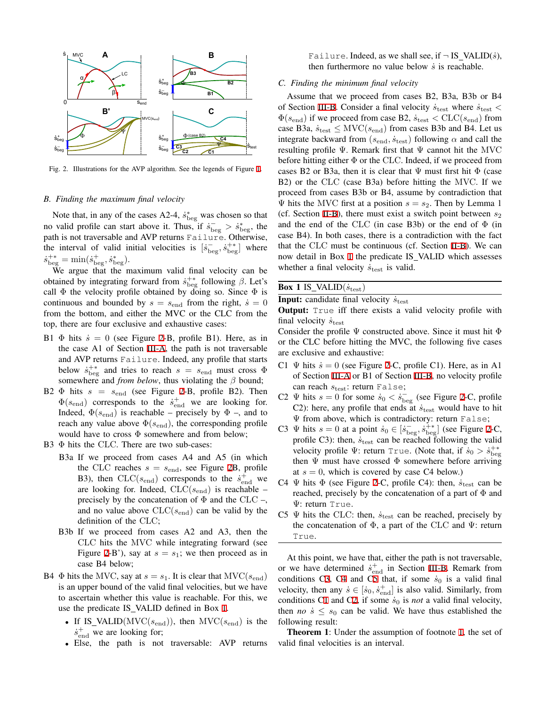

<span id="page-3-0"></span>Fig. 2. Illustrations for the AVP algorithm. See the legends of Figure [1.](#page-2-1)

## <span id="page-3-1"></span>*B. Finding the maximum final velocity*

Note that, in any of the cases A2-4,  $\dot{s}^*_{\text{beg}}$  was chosen so that no valid profile can start above it. Thus, if  $\dot{s}_{\text{beg}}^- > \dot{s}_{\text{beg}}^*$ , the path is not traversable and AVP returns Failure. Otherwise, the interval of valid initial velocities is  $[\dot{s}_{\text{beg}}^-, \dot{s}_{\text{beg}}^+]$  where  $\dot{s}^{+*}_{\text{beg}} = \min(\dot{s}^+_{\text{beg}}, \dot{s}^*_{\text{beg}}).$ 

We argue that the maximum valid final velocity can be obtained by integrating forward from  $\dot{s}^{+*}_{\text{beg}}$  following *β*. Let's call  $\Phi$  the velocity profile obtained by doing so. Since  $\Phi$  is continuous and bounded by  $s = s_{end}$  from the right,  $\dot{s} = 0$ from the bottom, and either the MVC or the CLC from the top, there are four exclusive and exhaustive cases:

- B1  $\Phi$  hits  $\dot{s} = 0$  (see Figure [2-](#page-3-0)B, profile B1). Here, as in the case A1 of Section [III-A,](#page-2-2) the path is not traversable and AVP returns Failure. Indeed, any profile that starts below  $\dot{s}^{+*}_{\text{beg}}$  and tries to reach  $s = s_{\text{end}}$  must cross  $\Phi$ somewhere and *from below*, thus violating the *β* bound;
- B[2](#page-3-0)  $\Phi$  hits  $s = s_{end}$  (see Figure 2-B, profile B2). Then  $\Phi(s_{\text{end}})$  corresponds to the  $\dot{s}_{\text{end}}^+$  we are looking for. Indeed,  $\Phi(s_{end})$  is reachable – precisely by  $\Phi$  –, and to reach any value above  $\Phi(s_{\text{end}})$ , the corresponding profile would have to cross Φ somewhere and from below;
- B3  $\Phi$  hits the CLC. There are two sub-cases:
	- B3a If we proceed from cases A4 and A5 (in which the CLC reaches  $s = s_{end}$ , see Figure [2B](#page-3-0), profile B3), then  $CLC(s_{end})$  corresponds to the  $\dot{s}_{end}^+$  we are looking for. Indeed, CLC(*s*end) is reachable – precisely by the concatenation of  $\Phi$  and the CLC –, and no value above  $CLC(s_{end})$  can be valid by the definition of the CLC;
	- B3b If we proceed from cases A2 and A3, then the CLC hits the MVC while integrating forward (see Figure [2](#page-3-0)-B'), say at  $s = s_1$ ; we then proceed as in case B4 below;
- B4  $\Phi$  hits the MVC, say at  $s = s_1$ . It is clear that MVC( $s_{end}$ ) is an upper bound of the valid final velocities, but we have to ascertain whether this value is reachable. For this, we use the predicate IS VALID defined in Box [1](#page-3-2).
	- *•* If IS VALID(MVC(*s*end)), then MVC(*s*end) is the  $\dot{s}^+_{\text{end}}$  we are looking for;
	- *•* Else, the path is not traversable: AVP returns

Failure. Indeed, as we shall see, if  $\neg$  IS VALID(*s*<sup> $\circ$ </sup>), then furthermore no value below *s*˙ is reachable.

# *C. Finding the minimum final velocity*

Assume that we proceed from cases B2, B3a, B3b or B4 of Section [III-B.](#page-3-1) Consider a final velocity  $\dot{s}_{\text{test}}$  where  $\dot{s}_{\text{test}}$  <  $\Phi(s_{\text{end}})$  if we proceed from case B2,  $\dot{s}_{\text{test}} < \text{CLC}(s_{\text{end}})$  from case B3a,  $\dot{s}_{\text{test}} \leq \text{MVC}(s_{\text{end}})$  from cases B3b and B4. Let us integrate backward from  $(s_{\text{end}}, \dot{s}_{\text{test}})$  following  $\alpha$  and call the resulting profile Ψ. Remark first that Ψ cannot hit the MVC before hitting either  $\Phi$  or the CLC. Indeed, if we proceed from cases B2 or B3a, then it is clear that  $\Psi$  must first hit  $\Phi$  (case B2) or the CLC (case B3a) before hitting the MVC. If we proceed from cases B3b or B4, assume by contradiction that  $\Psi$  hits the MVC first at a position  $s = s_2$ . Then by Lemma 1 (cf. Section [II-B\)](#page-1-5), there must exist a switch point between  $s_2$ and the end of the CLC (in case B3b) or the end of  $\Phi$  (in case B4). In both cases, there is a contradiction with the fact that the CLC must be continuous (cf. Section [II-B\)](#page-1-5). We can now detail in Box [1](#page-3-2) the predicate IS VALID which assesses whether a final velocity  $\dot{s}_{\text{test}}$  is valid.

# Box 1 IS\_VALID $(\dot{s}_{\text{test}})$

**Input:** candidate final velocity  $\dot{s}_{\text{test}}$ 

**Output:** True iff there exists a valid velocity profile with final velocity  $\dot{s}_{\text{test}}$ 

Consider the profile  $\Psi$  constructed above. Since it must hit  $\Phi$ or the CLC before hitting the MVC, the following five cases are exclusive and exhaustive:

- <span id="page-3-5"></span>C1  $\Psi$  hits  $\dot{s} = 0$  (see Figure [2](#page-3-0)-C, profile C1). Here, as in A1 of Section [III-A](#page-2-2) or B1 of Section [III-B](#page-3-1), no velocity profile can reach  $s_{\text{test}}$ : return False;
- <span id="page-3-6"></span>C[2](#page-3-0)  $\Psi$  hits  $s = 0$  for some  $\dot{s}_0 < \dot{s}_{\text{beg}}^-$  (see Figure 2-C, profile C2): here, any profile that ends at  $\dot{s}_{\text{test}}$  would have to hit Ψ from above, which is contradictory: return False;
- <span id="page-3-3"></span>C3  $\Psi$  hits  $s = 0$  at a point  $\dot{s}_0 \in [\dot{s}_{\text{beg}}^-, \dot{s}_{\text{beg}}^+]$  (see Figure [2-](#page-3-0)C, profile C3): then,  $\dot{s}_{\text{test}}$  can be reached following the valid velocity profile  $\Psi$ : return True. (Note that, if  $\dot{s}_0 > \dot{s}^{+*}_{\text{beg}}$ then  $\Psi$  must have crossed  $\Phi$  somewhere before arriving at  $s = 0$ , which is covered by case C4 below.)
- <span id="page-3-4"></span>C4  $\Psi$  hits  $\Phi$  (see Figure [2-](#page-3-0)C, profile C4): then,  $\dot{s}_{\text{test}}$  can be reached, precisely by the concatenation of a part of  $\Phi$  and Ψ: return True.
- <span id="page-3-2"></span>C5  $\Psi$  hits the CLC: then,  $\dot{s}_{\text{test}}$  can be reached, precisely by the concatenation of  $\Phi$ , a part of the CLC and  $\Psi$ : return True.

At this point, we have that, either the path is not traversable, or we have determined  $\dot{s}^+_{\text{end}}$  in Section [III-B.](#page-3-1) Remark from conditions C[3,](#page-3-3) C[4](#page-3-4) and C[5](#page-3-2) that, if some  $\dot{s}_0$  is a valid final velocity, then any  $\dot{s} \in [\dot{s}_0, \dot{s}_{\text{end}}^+]$  is also valid. Similarly, from conditions [C1](#page-3-5) and C[2,](#page-3-6) if some  $\dot{s}_0$  is *not* a valid final velocity, then *no*  $\dot{s} \leq s_0$  can be valid. We have thus established the following result:

Theorem 1: Under the assumption of footnote [1,](#page-0-0) the set of valid final velocities is an interval.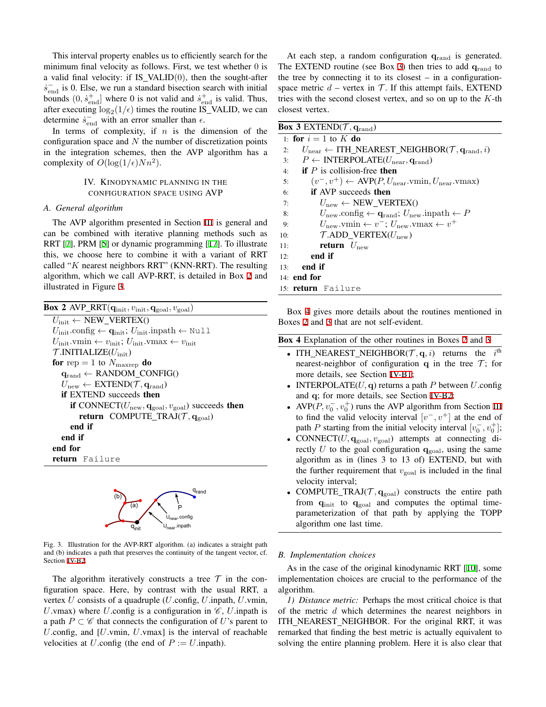This interval property enables us to efficiently search for the minimum final velocity as follows. First, we test whether 0 is a valid final velocity: if  $IS_VALID(0)$ , then the sought-after  $\dot{s}_{\text{end}}^{-1}$  is 0. Else, we run a standard bisection search with initial bounds  $(0, \dot{s}_{\text{end}}^+)$  where 0 is not valid and  $\dot{s}_{\text{end}}^+$  is valid. Thus, after executing  $\log_2(1/\epsilon)$  times the routine IS\_VALID, we can determine  $\dot{s}_{\text{end}}^-$  with an error smaller than  $\epsilon$ .

In terms of complexity, if *n* is the dimension of the configuration space and *N* the number of discretization points in the integration schemes, then the AVP algorithm has a complexity of  $O(\log(1/\epsilon)Nn^2)$ .

# IV. KINODYNAMIC PLANNING IN THE CONFIGURATION SPACE USING AVP

## <span id="page-4-0"></span>*A. General algorithm*

The AVP algorithm presented in Section [III](#page-2-0) is general and can be combined with iterative planning methods such as RRT [[7\]](#page-7-9), PRM [\[5](#page-7-6)] or dynamic programming [[17\]](#page-7-7). To illustrate this, we choose here to combine it with a variant of RRT called "*K* nearest neighbors RRT" (KNN-RRT). The resulting algorithm, which we call AVP-RRT, is detailed in Box [2](#page-4-1) and illustrated in Figure [3](#page-4-2).

| <b>Box 2</b> AVP_RRT $(q_{init}, v_{init}, q_{goal}, v_{goal})$                                             |  |  |  |  |  |
|-------------------------------------------------------------------------------------------------------------|--|--|--|--|--|
| $U_{\text{init}} \leftarrow \text{NEW\_VERTEX}()$                                                           |  |  |  |  |  |
| $U_{\text{init}}$ config $\leftarrow \mathbf{q}_{\text{init}}$ ; $U_{\text{init}}$ inpath $\leftarrow$ Null |  |  |  |  |  |
| $U_{\text{init}}$ .vmin $\leftarrow v_{\text{init}}$ ; $U_{\text{init}}$ .vmax $\leftarrow v_{\text{init}}$ |  |  |  |  |  |
| $\mathcal{T}$ .INITIALIZE $(U_{\text{init}})$                                                               |  |  |  |  |  |
| for rep = 1 to $N_{\text{maxrep}}$ do                                                                       |  |  |  |  |  |
| $q_{rand} \leftarrow$ RANDOM_CONFIG()                                                                       |  |  |  |  |  |
| $U_{\text{new}} \leftarrow \text{EXTEND}(\mathcal{T}, \mathbf{q}_{\text{rand}})$                            |  |  |  |  |  |
| <b>if EXTEND</b> succeeds then                                                                              |  |  |  |  |  |
| if CONNECT( $U_{\text{new}}, \mathbf{q}_{\text{goal}}, v_{\text{goal}}$ ) succeeds then                     |  |  |  |  |  |
| return COMPUTE_TRAJ $(\mathcal{T}, \mathbf{q}_{\text{goal}})$                                               |  |  |  |  |  |
| end if                                                                                                      |  |  |  |  |  |
| end if                                                                                                      |  |  |  |  |  |
| end for                                                                                                     |  |  |  |  |  |
| return Failure                                                                                              |  |  |  |  |  |

<span id="page-4-1"></span>

Fig. 3. Illustration for the AVP-RRT algorithm. (a) indicates a straight path and (b) indicates a path that preserves the continuity of the tangent vector, cf. Section [IV-B2](#page-5-1).

<span id="page-4-2"></span>The algorithm iteratively constructs a tree  $\mathcal T$  in the configuration space. Here, by contrast with the usual RRT, a vertex *U* consists of a quadruple (*U*.config, *U*.inpath, *U*.vmin, *U*.vmax) where *U*.config is a configuration in  $\mathcal{C}$ , *U*.inpath is a path  $P \subset C$  that connects the configuration of *U*'s parent to *U*.config, and [*U*.vmin, *U*.vmax] is the interval of reachable velocities at *U*.config (the end of  $P := U$ .inpath).

At each step, a random configuration **q**rand is generated. The EXTEND routine (see Box [3](#page-4-3)) then tries to add **q**rand to the tree by connecting it to its closest  $-$  in a configurationspace metric  $d$  – vertex in  $T$ . If this attempt fails, EXTEND tries with the second closest vertex, and so on up to the *K*-th closest vertex.

|                 | <b>Box 3</b> EXTEND( $\mathcal{T}$ , $q_{rand}$ )                                                               |
|-----------------|-----------------------------------------------------------------------------------------------------------------|
|                 | 1: for $i = 1$ to K do                                                                                          |
| 2:              | $U_{\text{near}} \leftarrow \text{ITH\_NEAREST\_NEIGHBOR}(\mathcal{T}, \mathbf{q}_{\text{rand}}, i)$            |
| 3:              | $P \leftarrow \text{INTERPOLATE}(U_{\text{near}}, \mathbf{q}_{\text{rand}})$                                    |
| 4:              | <b>if</b> P is collision-free then                                                                              |
| 5:              | $(v^-, v^+) \leftarrow \text{AVP}(P, U_{\text{near}}.\text{vmin}, U_{\text{near}}.\text{vmax})$                 |
| 6:              | <b>if</b> AVP succeeds then                                                                                     |
| 7:              | $U_{\text{new}} \leftarrow \text{NEW VERTEX}()$                                                                 |
| 8:              | $U_{\text{new}}.\text{config} \leftarrow \mathbf{q}_{\text{rand}}$ ; $U_{\text{new}}.\text{input} \leftarrow P$ |
| 9:              | $U_{\text{new}}$ .vmin $\leftarrow v^{-}$ ; $U_{\text{new}}$ .vmax $\leftarrow v^{+}$                           |
| 10:             | $\mathcal{T}$ .ADD_VERTEX $(U_{\text{new}})$                                                                    |
| 11:             | <b>return</b> $U_{\text{new}}$                                                                                  |
| 12 <sup>0</sup> | end if                                                                                                          |
| 13:             | end if                                                                                                          |
|                 | $14:$ end for                                                                                                   |
|                 | 15: <b>return</b> Failure                                                                                       |

<span id="page-4-3"></span>Box [4](#page-4-4) gives more details about the routines mentioned in Boxes [2](#page-4-1) and [3](#page-4-3) that are not self-evident.

<span id="page-4-4"></span>

|  | <b>Box 4</b> Explanation of the other routines in Boxes 2 and 3 |  |  |  |  |
|--|-----------------------------------------------------------------|--|--|--|--|
|  |                                                                 |  |  |  |  |

- ITH\_NEAREST\_NEIGHBOR( $\mathcal{T}, \mathbf{q}, i$ ) returns the  $i^{\text{th}}$ nearest-neighbor of configuration **q** in the tree  $\mathcal{T}$ ; for more details, see Section [IV-B1;](#page-4-5)
- *•* INTERPOLATE(*U,* **q**) returns a path *P* between *U*.config and **q**; for more details, see Section [IV-B2](#page-5-1);
- AVP( $P, v_0^-, v_0^+$ ) runs the AVP algorithm from Section [III](#page-2-0) to find the valid velocity interval  $[v^-, v^+]$  at the end of path *P* starting from the initial velocity interval  $[v_0^-, v_0^+]$ ;
- CONNECT( $U$ ,  $\mathbf{q}_{\text{goal}}$ ,  $v_{\text{goal}}$ ) attempts at connecting directly U to the goal configuration  $q_{\text{goal}}$ , using the same algorithm as in (lines 3 to 13 of) EXTEND, but with the further requirement that  $v_{\text{goal}}$  is included in the final velocity interval;
- COMPUTE\_TRAJ $(\mathcal{T}, \mathbf{q}_{\text{goal}})$  constructs the entire path from **q**init to **q**goal and computes the optimal timeparameterization of that path by applying the TOPP algorithm one last time.

## *B. Implementation choices*

As in the case of the original kinodynamic RRT [\[10](#page-7-1)], some implementation choices are crucial to the performance of the algorithm.

<span id="page-4-5"></span>*1) Distance metric:* Perhaps the most critical choice is that of the metric *d* which determines the nearest neighbors in ITH NEAREST NEIGHBOR. For the original RRT, it was remarked that finding the best metric is actually equivalent to solving the entire planning problem. Here it is also clear that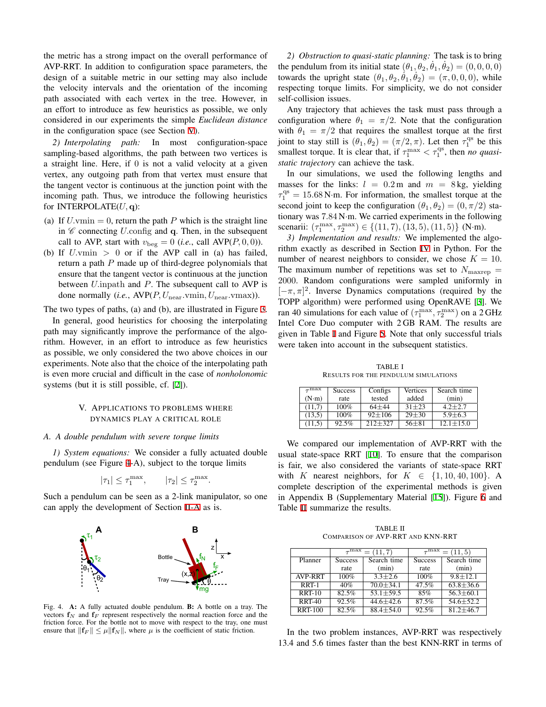the metric has a strong impact on the overall performance of AVP-RRT. In addition to configuration space parameters, the design of a suitable metric in our setting may also include the velocity intervals and the orientation of the incoming path associated with each vertex in the tree. However, in an effort to introduce as few heuristics as possible, we only considered in our experiments the simple *Euclidean distance* in the configuration space (see Section [V](#page-5-0)).

<span id="page-5-1"></span>*2) Interpolating path:* In most configuration-space sampling-based algorithms, the path between two vertices is a straight line. Here, if 0 is not a valid velocity at a given vertex, any outgoing path from that vertex must ensure that the tangent vector is continuous at the junction point with the incoming path. Thus, we introduce the following heuristics for INTERPOLATE(*U,* **q**):

- (a) If  $U$ *vmin* = 0, return the path  $P$  which is the straight line in *C* connecting *U.*config and **q**. Then, in the subsequent call to AVP, start with  $v_{\text{beg}} = 0$  (*i.e.*, call AVP( $P$ , 0, 0)).
- (b) If *U.*vmin *>* 0 or if the AVP call in (a) has failed, return a path *P* made up of third-degree polynomials that ensure that the tangent vector is continuous at the junction between *U.*inpath and *P*. The subsequent call to AVP is done normally (*i.e.*, AVP(*P, U*near*.*vmin*, U*near*.*vmax)).

The two types of paths, (a) and (b), are illustrated in Figure [3.](#page-4-2) In general, good heuristics for choosing the interpolating path may significantly improve the performance of the algorithm. However, in an effort to introduce as few heuristics as possible, we only considered the two above choices in our experiments. Note also that the choice of the interpolating path is even more crucial and difficult in the case of *nonholonomic* systems (but it is still possible, cf. [[2\]](#page-7-16)).

# V. APPLICATIONS TO PROBLEMS WHERE DYNAMICS PLAY A CRITICAL ROLE

## <span id="page-5-0"></span>*A. A double pendulum with severe torque limits*

*1) System equations:* We consider a fully actuated double pendulum (see Figure [4](#page-5-2)-A), subject to the torque limits

$$
|\tau_1| \le \tau_1^{\max}, \qquad |\tau_2| \le \tau_2^{\max}.
$$

Such a pendulum can be seen as a 2-link manipulator, so one can apply the development of Section [II-A](#page-1-6) as is.



<span id="page-5-2"></span>Fig. 4. A: A fully actuated double pendulum. B: A bottle on a tray. The vectors  $f_N$  and  $f_F$  represent respectively the normal reaction force and the friction force. For the bottle not to move with respect to the tray, one must ensure that  $||{\bf f}_F|| \leq \mu ||{\bf f}_N||$ , where  $\mu$  is the coefficient of static friction.

*2) Obstruction to quasi-static planning:* The task is to bring the pendulum from its initial state  $(\theta_1, \theta_2, \dot{\theta}_1, \dot{\theta}_2) = (0, 0, 0, 0)$ towards the upright state  $(\theta_1, \theta_2, \dot{\theta}_1, \dot{\theta}_2) = (\pi, 0, 0, 0)$ , while respecting torque limits. For simplicity, we do not consider self-collision issues.

Any trajectory that achieves the task must pass through a configuration where  $\theta_1 = \pi/2$ . Note that the configuration with  $\theta_1 = \pi/2$  that requires the smallest torque at the first joint to stay still is  $(\theta_1, \theta_2) = (\pi/2, \pi)$ . Let then  $\tau_1^{\text{qs}}$  be this smallest torque. It is clear that, if  $\tau_1^{\max} < \tau_1^{\text{qs}}$ , then *no quasistatic trajectory* can achieve the task.

In our simulations, we used the following lengths and masses for the links:  $l = 0.2$  m and  $m = 8$  kg, yielding  $\tau_1^{\text{qs}} = 15.68 \text{ N} \cdot \text{m}$ . For information, the smallest torque at the second joint to keep the configuration  $(\theta_1, \theta_2) = (0, \pi/2)$  stationary was 7*.*84 N*·*m. We carried experiments in the following scenarii:  $(\tau_1^{\max}, \tau_2^{\max}) \in \{(11, 7), (13, 5), (11, 5)\}$  (N·m).

<span id="page-5-5"></span>*3) Implementation and results:* We implemented the algorithm exactly as described in Section [IV](#page-4-0) in Python. For the number of nearest neighbors to consider, we chose  $K = 10$ . The maximum number of repetitions was set to  $N_{\text{maxrep}} =$ 2000. Random configurations were sampled uniformly in [*−π, π*] 2 . Inverse Dynamics computations (required by the TOPP algorithm) were performed using OpenRAVE [\[3](#page-7-20)]. We ran 40 simulations for each value of  $(\tau_1^{\text{max}}, \tau_2^{\text{max}})$  on a 2 GHz Intel Core Duo computer with 2 GB RAM. The results are given in Table [I](#page-5-3) and Figure [5](#page-6-1). Note that only successful trials were taken into account in the subsequent statistics.

TABLE I RESULTS FOR THE PENDULUM SIMULATIONS

<span id="page-5-3"></span>

| $_{\tau}$ max | <b>Success</b> | Configs     | Vertices  | Search time   |
|---------------|----------------|-------------|-----------|---------------|
| $(N \cdot m)$ | rate           | tested      | added     | (min)         |
| (11,7)        | 100%           | $64 + 44$   | $31 + 23$ | $4.2 + 2.7$   |
| (13,5)        | 100%           | $92 + 106$  | $29 + 30$ | $5.9 + 6.3$   |
| (11.5)        | 92.5%          | $212 + 327$ | $56 + 81$ | $12.1 + 15.0$ |

We compared our implementation of AVP-RRT with the usual state-space RRT [\[10](#page-7-1)]. To ensure that the comparison is fair, we also considered the variants of state-space RRT with *K* nearest neighbors, for  $K \in \{1, 10, 40, 100\}$ . A complete description of the experimental methods is given in Appendix B (Supplementary Material [\[15](#page-7-18)]). Figure [6](#page-6-2) and Table [II](#page-5-4) summarize the results.

TABLE II COMPARISON OF AVP-RRT AND KNN-RRT

<span id="page-5-4"></span>

|                | $_{\tau}$ max                 | $= (11, 7)$     | $_{\tau}$ max<br>$= (11, 5)$ |                 |  |
|----------------|-------------------------------|-----------------|------------------------------|-----------------|--|
| Planner        | Search time<br><b>Success</b> |                 | <b>Success</b>               | Search time     |  |
|                | rate                          | (min)           | rate                         | (min)           |  |
| <b>AVP-RRT</b> | 100%                          | $3.3 + 2.6$     | 100%                         | $9.8 \pm 12.1$  |  |
| RRT-1          | 40%                           | $70.0 \pm 34.1$ | 47.5%                        | $63.8 \pm 36.6$ |  |
| <b>RRT-10</b>  | 82.5%                         | $53.1 + 59.5$   | 85%                          | $56.3 \pm 60.1$ |  |
| <b>RRT-40</b>  | 92.5%                         | $44.6 \pm 42.6$ | 87.5%                        | $54.6 + 52.2$   |  |
| <b>RRT-100</b> | 82.5%                         | $88.4 + 54.0$   | 92.5%                        | $81.2 + 46.7$   |  |

In the two problem instances, AVP-RRT was respectively 13.4 and 5.6 times faster than the best KNN-RRT in terms of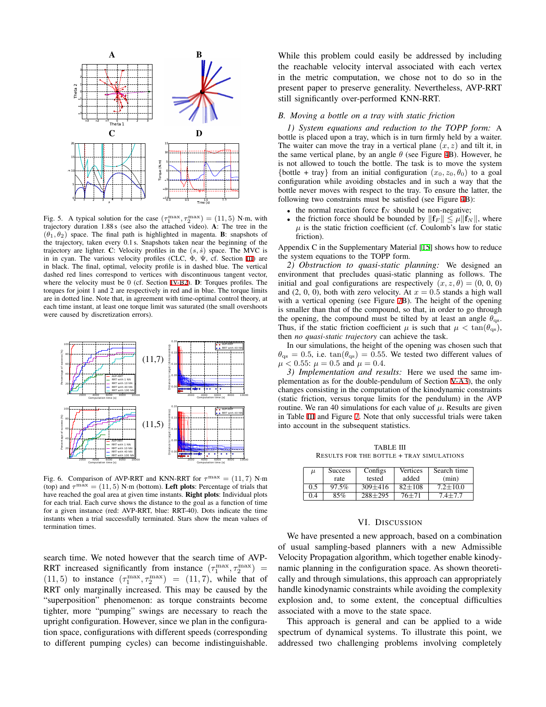

<span id="page-6-1"></span>Fig. 5. A typical solution for the case  $(\tau_1^{\max}, \tau_2^{\max}) = (11, 5)$  N·m, with trajectory duration 1.88 s (see also the attached video). A: The tree in the  $(\theta_1, \theta_2)$  space. The final path is highlighted in magenta. **B**: snapshots of the trajectory, taken every 0.1 s. Snapshots taken near the beginning of the trajectory are lighter. C: Velocity profiles in the  $(s, \dot{s})$  space. The MVC is in in cyan. The various velocity profiles (CLC,  $\Phi$ ,  $\Psi$ , cf. Section [III\)](#page-2-0) are in black. The final, optimal, velocity profile is in dashed blue. The vertical dashed red lines correspond to vertices with discontinuous tangent vector, where the velocity must be 0 (cf. Section [IV-B2\)](#page-5-1). D: Torques profiles. The torques for joint 1 and 2 are respectively in red and in blue. The torque limits are in dotted line. Note that, in agreement with time-optimal control theory, at each time instant, at least one torque limit was saturated (the small overshoots were caused by discretization errors).



<span id="page-6-2"></span>Fig. 6. Comparison of AVP-RRT and KNN-RRT for  $\tau^{\text{max}} = (11, 7)$  N·m (top) and  $\tau^{\text{max}} = (11, 5)$  N·m (bottom). Left plots: Percentage of trials that have reached the goal area at given time instants. Right plots: Individual plots for each trial. Each curve shows the distance to the goal as a function of time for a given instance (red: AVP-RRT, blue: RRT-40). Dots indicate the time instants when a trial successfully terminated. Stars show the mean values of termination times.

search time. We noted however that the search time of AVP-RRT increased significantly from instance  $(\tau_1^{\text{max}}, \tau_2^{\text{max}})$  =  $(11, 5)$  to instance  $(\tau_1^{\max}, \tau_2^{\max}) = (11, 7)$ , while that of RRT only marginally increased. This may be caused by the "superposition" phenomenon: as torque constraints become tighter, more "pumping" swings are necessary to reach the upright configuration. However, since we plan in the configuration space, configurations with different speeds (corresponding to different pumping cycles) can become indistinguishable.

While this problem could easily be addressed by including the reachable velocity interval associated with each vertex in the metric computation, we chose not to do so in the present paper to preserve generality. Nevertheless, AVP-RRT still significantly over-performed KNN-RRT.

#### *B. Moving a bottle on a tray with static friction*

*1) System equations and reduction to the TOPP form:* A bottle is placed upon a tray, which is in turn firmly held by a waiter. The waiter can move the tray in a vertical plane  $(x, z)$  and tilt it, in the same vertical plane, by an angle  $\theta$  (see Figure [4](#page-5-2)B). However, he is not allowed to touch the bottle. The task is to move the system {bottle + tray} from an initial configuration  $(x_0, z_0, \theta_0)$  to a goal configuration while avoiding obstacles and in such a way that the bottle never moves with respect to the tray. To ensure the latter, the following two constraints must be satisfied (see Figure [4B](#page-5-2)):

- the normal reaction force  $f_N$  should be non-negative;
- the friction force should be bounded by  $||{\bf f}_F|| \leq \mu ||{\bf f}_N||$ , where  $\mu$  is the static friction coefficient (cf. Coulomb's law for static friction).

Appendix C in the Supplementary Material [\[15](#page-7-18)] shows how to reduce the system equations to the TOPP form.

*2) Obstruction to quasi-static planning:* We designed an environment that precludes quasi-static planning as follows. The initial and goal configurations are respectively  $(x, z, \theta) = (0, 0, 0)$ and (2, 0, 0), both with zero velocity. At  $x = 0.5$  stands a high wall with a vertical opening (see Figure [7B](#page-7-21)). The height of the opening is smaller than that of the compound, so that, in order to go through the opening, the compound must be tilted by at least an angle  $\theta_{\text{qs}}$ . Thus, if the static friction coefficient  $\mu$  is such that  $\mu < \tan(\theta_{\text{gs}})$ , then *no quasi-static trajectory* can achieve the task.

In our simulations, the height of the opening was chosen such that  $\theta_{\text{qs}} = 0.5$ , i.e.  $\tan(\theta_{\text{qs}}) = 0.55$ . We tested two different values of  $\mu$  < 0.55:  $\mu$  = 0.5 and  $\mu$  = 0.4.

*3) Implementation and results:* Here we used the same implementation as for the double-pendulum of Section [V-A3](#page-5-5)), the only changes consisting in the computation of the kinodynamic constraints (static friction, versus torque limits for the pendulum) in the AVP routine. We ran 40 simulations for each value of  $\mu$ . Results are given in Table [III](#page-6-3) and Figure [7.](#page-7-21) Note that only successful trials were taken into account in the subsequent statistics.

TABLE III RESULTS FOR THE BOTTLE + TRAY SIMULATIONS

<span id="page-6-3"></span>

| $\mu$ | <b>Success</b> | Configs     | Vertices   | Search time  |
|-------|----------------|-------------|------------|--------------|
|       | rate           | tested      | added      | (min)        |
| 0.5   | 97.5%          | $309 + 416$ | $82 + 108$ | $7.2 + 10.0$ |
| 0.4   | 85%            | $288 + 295$ | $76 + 71$  | $74 + 77$    |

### VI. DISCUSSION

<span id="page-6-0"></span>We have presented a new approach, based on a combination of usual sampling-based planners with a new Admissible Velocity Propagation algorithm, which together enable kinodynamic planning in the configuration space. As shown theoretically and through simulations, this approach can appropriately handle kinodynamic constraints while avoiding the complexity explosion and, to some extent, the conceptual difficulties associated with a move to the state space.

This approach is general and can be applied to a wide spectrum of dynamical systems. To illustrate this point, we addressed two challenging problems involving completely